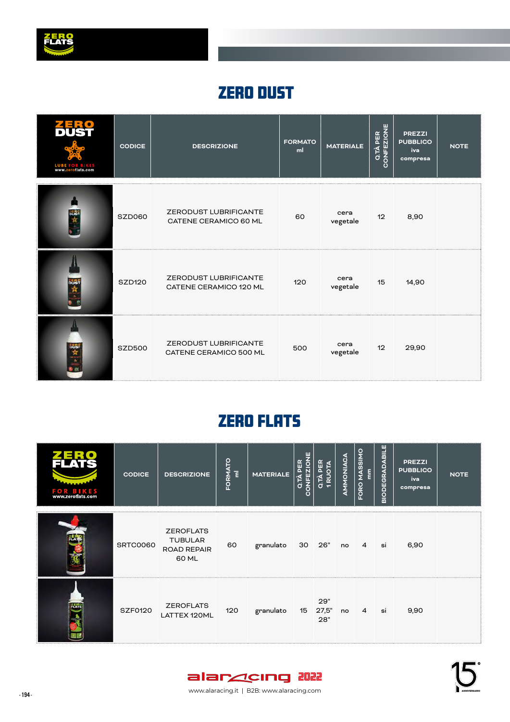

#### ZERO DUST

| <b>LUBE FOR BIKES</b><br>www.zeroflats.com | <b>CODICE</b> | <b>DESCRIZIONE</b>                                     | <b>FORMATO</b><br>ml | <b>MATERIALE</b> | CONFEZIONE<br>Q.TÀ PER | <b>PREZZI</b><br><b>PUBBLICO</b><br>iva<br>compresa | <b>NOTE</b> |
|--------------------------------------------|---------------|--------------------------------------------------------|----------------------|------------------|------------------------|-----------------------------------------------------|-------------|
| 跳舞                                         | SZD060        | <b>ZERODUST LUBRIFICANTE</b><br>CATENE CERAMICO 60 ML  | 60                   | cera<br>vegetale | 12                     | 8,90                                                |             |
| bus                                        | <b>SZD120</b> | <b>ZERODUST LUBRIFICANTE</b><br>CATENE CERAMICO 120 ML | 120                  | cera<br>vegetale | 15                     | 14,90                                               |             |
| 路会主                                        | <b>SZD500</b> | ZERODUST LUBRIFICANTE<br>CATENE CERAMICO 500 ML        | 500                  | cera<br>vegetale | 12                     | 29,90                                               |             |

## ZERO FLATS

| ⁄ ∗ ¶ j<br><b>FOR BIKES</b><br>www.zeroflats.com | <b>CODICE</b>  | <b>DESCRIZIONE</b>                                                | FORMATO<br>a | <b>MATERIALE</b> | ONFEZIONE<br>Q.TÀ PER<br>О | Q.TÀ PER<br><b>1RUOTA</b> | AMMONIACA | FORO MASSIMO<br>$\overline{\epsilon}$ | <b>BIODEGRADABILE</b> | <b>PREZZI</b><br><b>PUBBLICO</b><br>iva<br>compresa | <b>NOTE</b> |
|--------------------------------------------------|----------------|-------------------------------------------------------------------|--------------|------------------|----------------------------|---------------------------|-----------|---------------------------------------|-----------------------|-----------------------------------------------------|-------------|
|                                                  | SRTC0060       | <b>ZEROFLATS</b><br><b>TUBULAR</b><br><b>ROAD REPAIR</b><br>60 ML | 60           | granulato        | 30 26"                     |                           | no 4      |                                       | si                    | 6,90                                                |             |
| ZER 9                                            | <b>SZF0120</b> | <b>ZEROFLATS</b><br>LATTEX 120ML                                  | 120          | granulato        |                            | 29"<br>15 27,5"<br>28"    | no        | 4                                     | si                    | 9,90                                                |             |

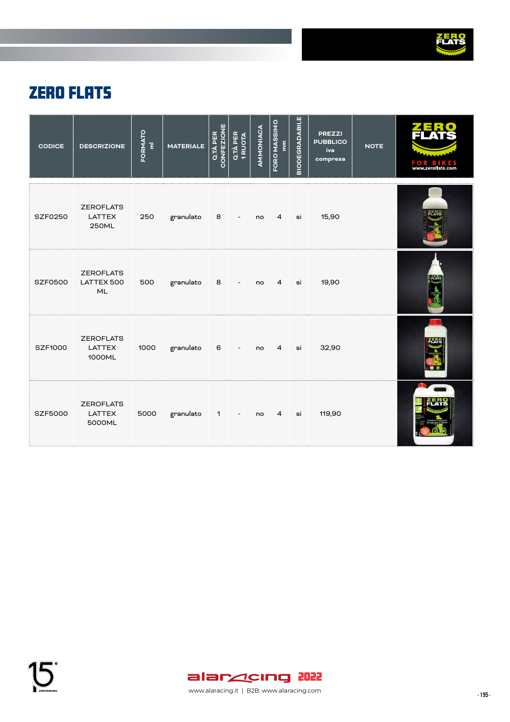

## ZERO FLATS

| <b>CODICE</b>  | <b>DESCRIZIONE</b>                                | FORMATO<br>Ē | <b>MATERIALE</b> | CONFEZIONE<br>Q.TÀ PER | Q.TÀ PER<br>1 RUOTA      | AMMONIACA | FORO MASSIMO<br>$\mathop{\rm lim}_{\hbox{\scriptsize{E}}}$ | <b>BIODEGRADABILE</b> | <b>PREZZI</b><br><b>PUBBLICO</b><br>iva<br>compresa | <b>NOTE</b> | FOR<br>www.zeroflats.com |
|----------------|---------------------------------------------------|--------------|------------------|------------------------|--------------------------|-----------|------------------------------------------------------------|-----------------------|-----------------------------------------------------|-------------|--------------------------|
| <b>SZF0250</b> | <b>ZEROFLATS</b><br><b>LATTEX</b><br><b>250ML</b> | 250          | granulato        | 8 <sup>1</sup>         | $\overline{\phantom{a}}$ | no        | $\overline{4}$                                             | si                    | 15,90                                               |             |                          |
| <b>SZF0500</b> | <b>ZEROFLATS</b><br>LATTEX 500<br>ML              | 500          | granulato        | 8                      | $\overline{\phantom{a}}$ | no        | 4                                                          | si                    | 19,90                                               |             |                          |
| <b>SZF1000</b> | <b>ZEROFLATS</b><br><b>LATTEX</b><br>1000ML       | 1000         | granulato        | 6                      | $\overline{\phantom{a}}$ | no        | $\overline{4}$                                             | si                    | 32,90                                               |             |                          |
| <b>SZF5000</b> | <b>ZEROFLATS</b><br><b>LATTEX</b><br>5000ML       | 5000         | granulato        | $1 \quad \blacksquare$ | $\overline{\phantom{a}}$ | no        | $\overline{4}$                                             | si                    | 119,90                                              |             |                          |

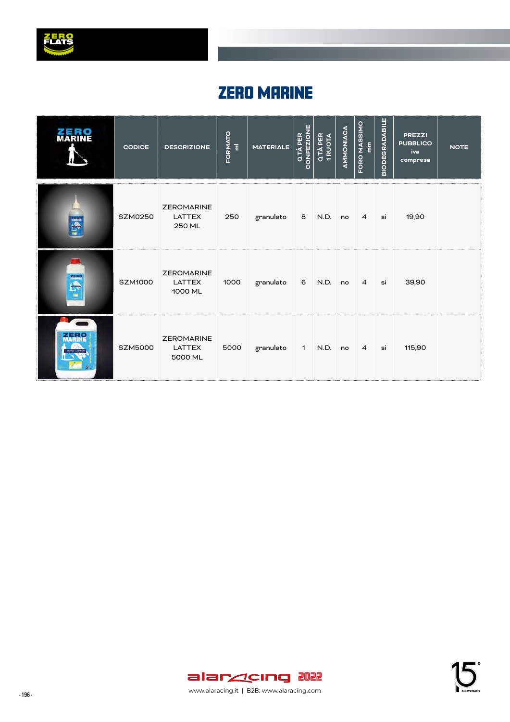

#### **ZERO MARINE**

| <b>MARINE</b> | <b>CODICE</b>  | <b>DESCRIZIONE</b>                            | FORMATO | <b>MATERIALE</b>         | CONFEZIONE<br>Q.TÀ PER | Q.TÀ PER<br>1 RUOTA | AMMONIACA | FORO MASSIMO<br>$\frac{\epsilon}{\epsilon}$ | <b>BIODEGRADABILE</b> | <b>PREZZI</b><br><b>PUBBLICO</b><br>iva<br>compresa | <b>NOTE</b> |
|---------------|----------------|-----------------------------------------------|---------|--------------------------|------------------------|---------------------|-----------|---------------------------------------------|-----------------------|-----------------------------------------------------|-------------|
| <b>SOF</b>    | <b>SZM0250</b> | <b>ZEROMARINE</b><br><b>LATTEX</b><br>250 ML  | 250     | granulato 8 N.D. no 4    |                        |                     |           |                                             | si                    | 19,90                                               |             |
| <b>SECT</b>   | <b>SZM1000</b> | <b>ZEROMARINE</b><br><b>LATTEX</b><br>1000 ML | 1000    | granulato 6 N.D. no 4 si |                        |                     |           |                                             |                       | 39,90                                               |             |
| <b>ZERO</b>   | <b>SZM5000</b> | <b>ZEROMARINE</b><br><b>LATTEX</b><br>5000 ML | 5000    | granulato                |                        | 1 N.D. no 4 si      |           |                                             |                       | 115,90                                              |             |